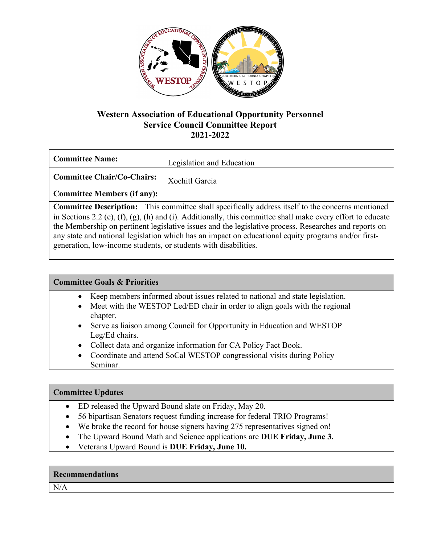

## **Western Association of Educational Opportunity Personnel Service Council Committee Report 2021-2022**

| <b>Committee Name:</b>             | Legislation and Education |
|------------------------------------|---------------------------|
| Committee Chair/Co-Chairs:         | Xochitl Garcia            |
| <b>Committee Members (if any):</b> |                           |

**Committee Description:** This committee shall specifically address itself to the concerns mentioned in Sections 2.2 (e), (f), (g), (h) and (i). Additionally, this committee shall make every effort to educate the Membership on pertinent legislative issues and the legislative process. Researches and reports on any state and national legislation which has an impact on educational equity programs and/or firstgeneration, low-income students, or students with disabilities.

### **Committee Goals & Priorities**

- Keep members informed about issues related to national and state legislation.
- Meet with the WESTOP Led/ED chair in order to align goals with the regional chapter.
- Serve as liaison among Council for Opportunity in Education and WESTOP Leg/Ed chairs.
- Collect data and organize information for CA Policy Fact Book.
- Coordinate and attend SoCal WESTOP congressional visits during Policy Seminar.

### **Committee Updates**

- ED released the Upward Bound slate on Friday, May 20.
- 56 bipartisan Senators request funding increase for federal TRIO Programs!
- We broke the record for house signers having 275 representatives signed on!
- The Upward Bound Math and Science applications are **DUE Friday, June 3.**
- Veterans Upward Bound is **DUE Friday, June 10.**

### **Recommendations**

N/A